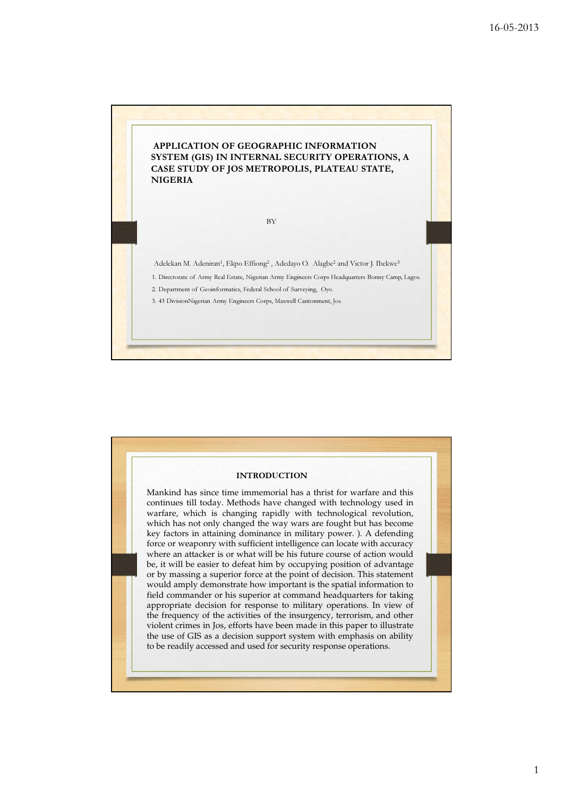

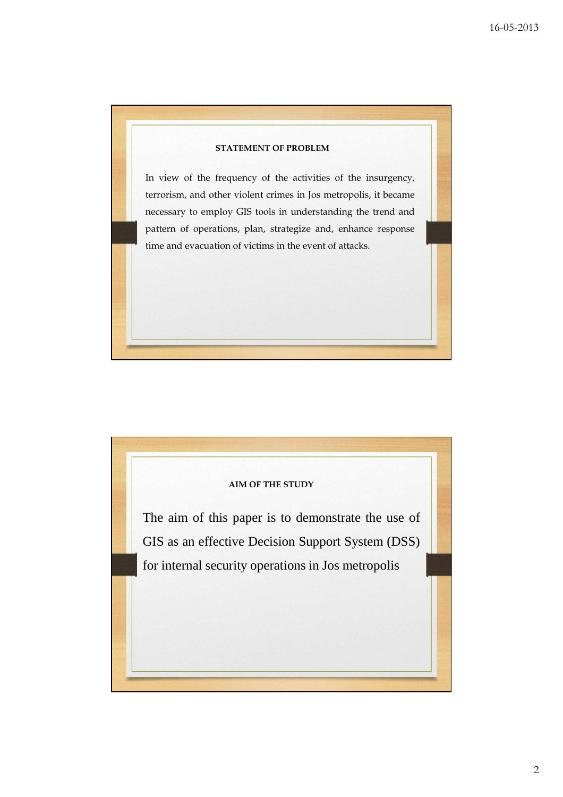

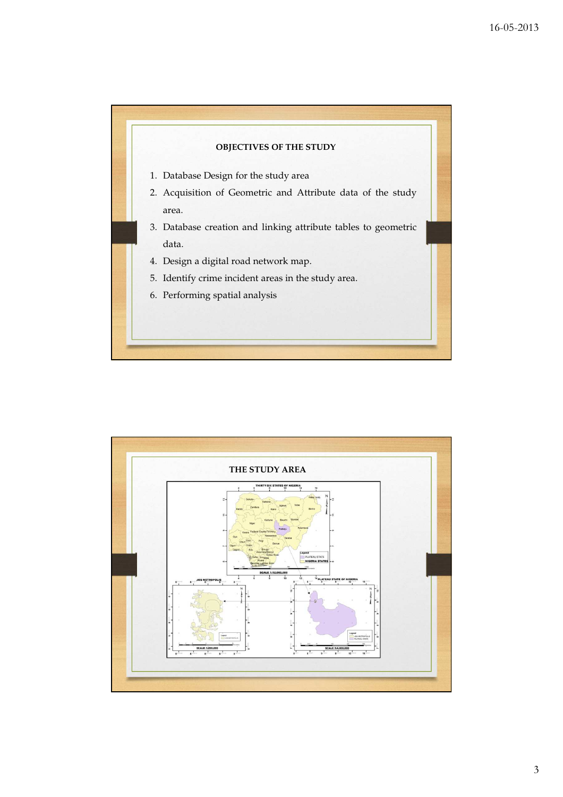



3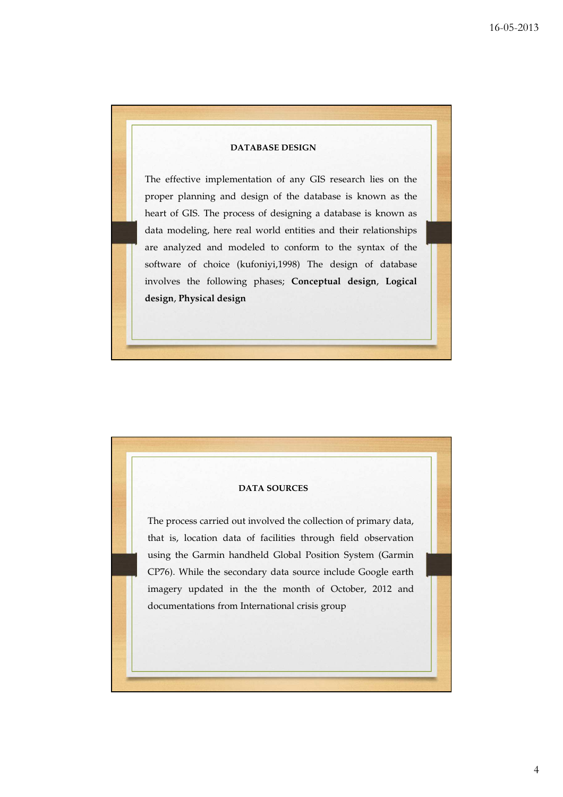## **DATABASE DESIGN**

The effective implementation of any GIS research lies on the proper planning and design of the database is known as the heart of GIS. The process of designing a database is known as data modeling, here real world entities and their relationships are analyzed and modeled to conform to the syntax of the software of choice (kufoniyi,1998) The design of database involves the following phases; **Conceptual design**, **Logical design**, **Physical design**

## **DATA SOURCES**

The process carried out involved the collection of primary data, that is, location data of facilities through field observation using the Garmin handheld Global Position System (Garmin CP76). While the secondary data source include Google earth imagery updated in the the month of October, 2012 and documentations from International crisis group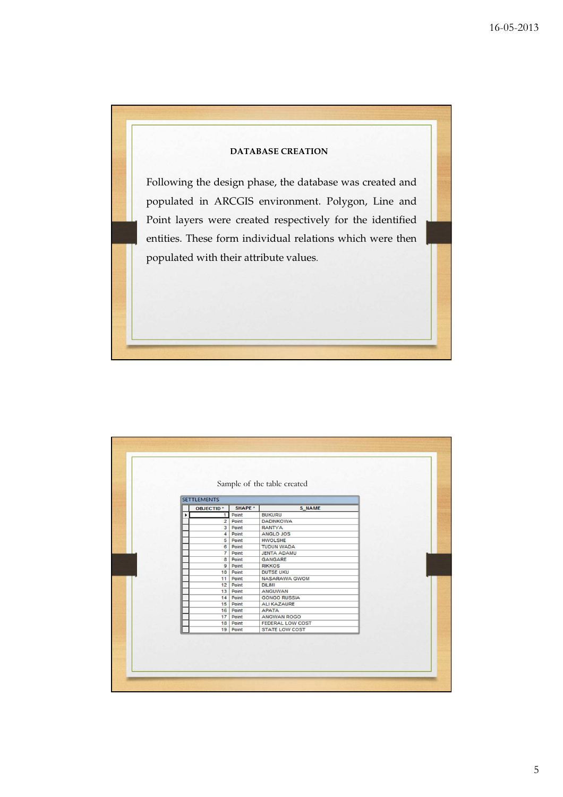

| <b>SETTLEMENTS</b> |          |                       |  |
|--------------------|----------|-----------------------|--|
| <b>OBJECTID*</b>   | SHAPE *  | S NAME                |  |
| 1                  | Point    | <b>BUKURU</b>         |  |
| 2 <sup>1</sup>     | Point    | <b>DADINKOWA</b>      |  |
| 3 <sup>1</sup>     | Point    | <b>RANTYA</b>         |  |
| 4                  | Point    | ANGLO JOS             |  |
|                    | 5 Point  | <b>HWOLSHE</b>        |  |
|                    | 6 Point  | <b>TUDUN WADA</b>     |  |
| $\overline{7}$     | Point    | <b>JENTA ADAMU</b>    |  |
| 8 <sup>1</sup>     | Point    | <b>GANGARE</b>        |  |
|                    | 9 Point  | <b>RIKKOS</b>         |  |
|                    | 10 Point | <b>DUTSE UKU</b>      |  |
|                    | 11 Point | <b>NASARAWA GWOM</b>  |  |
|                    | 12 Point | <b>DILIMI</b>         |  |
|                    | 13 Point | ANGUWAN               |  |
|                    | 14 Point | <b>GONGO RUSSIA</b>   |  |
|                    | 15 Point | <b>ALIKAZAURE</b>     |  |
|                    | 16 Point | <b>APATA</b>          |  |
|                    | 17 Point | ANGWAN ROGO           |  |
|                    | 18 Point | FEDERAL LOW COST      |  |
|                    | 19 Point | <b>STATE LOW COST</b> |  |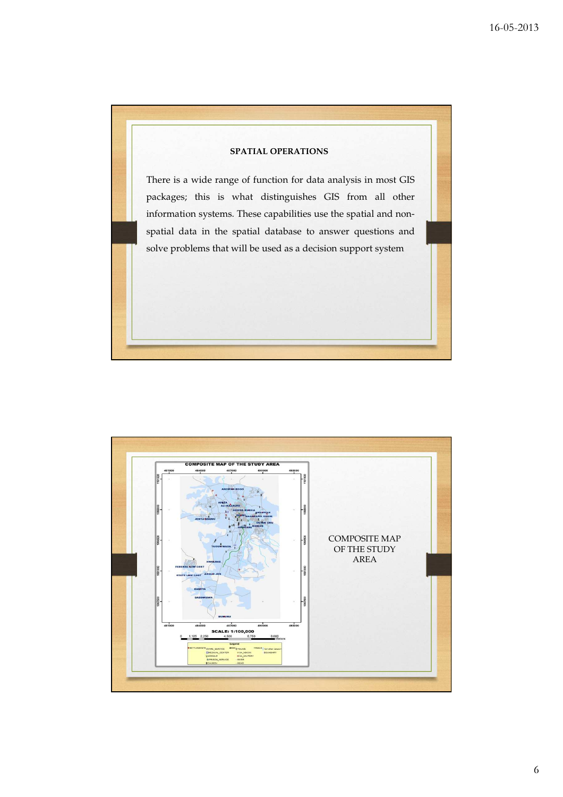![](_page_5_Picture_1.jpeg)

![](_page_5_Figure_2.jpeg)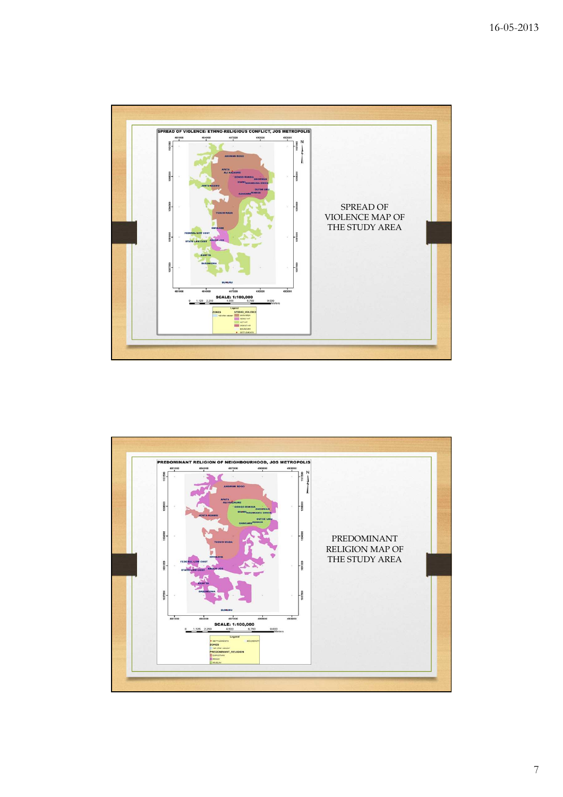![](_page_6_Figure_1.jpeg)

![](_page_6_Figure_2.jpeg)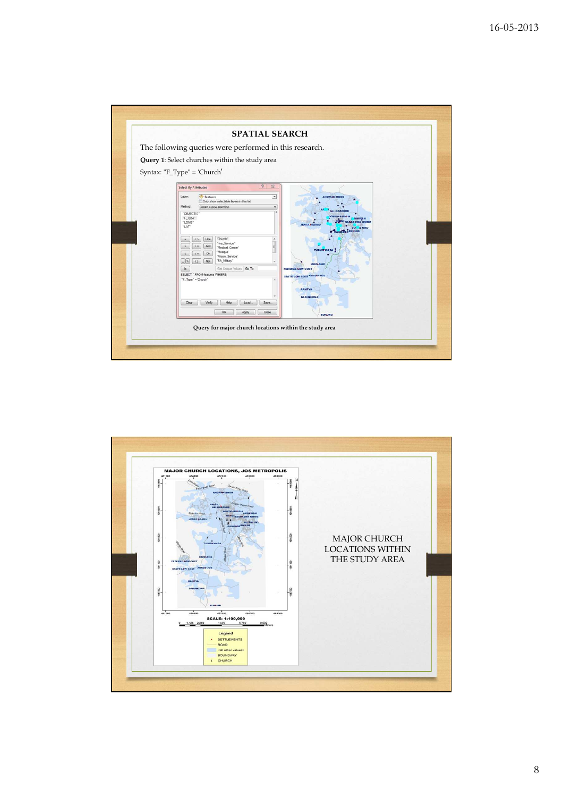![](_page_7_Figure_1.jpeg)

![](_page_7_Figure_2.jpeg)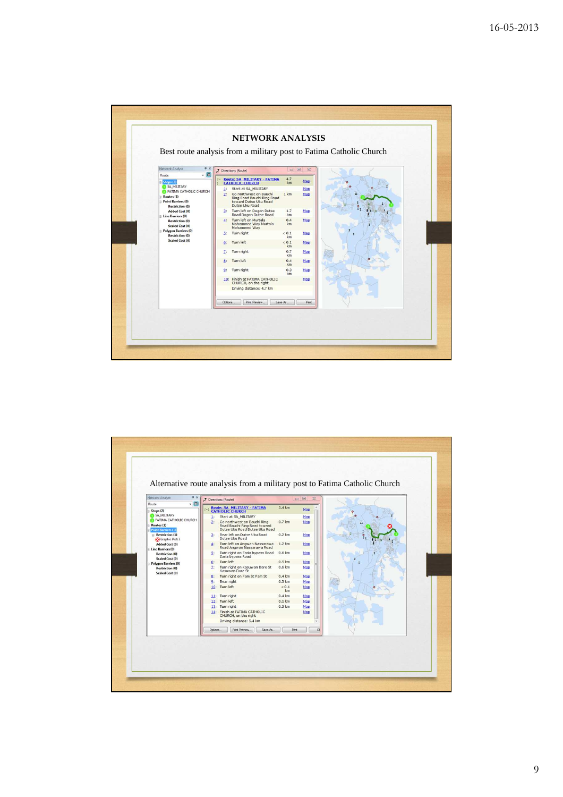![](_page_8_Figure_1.jpeg)

![](_page_8_Figure_2.jpeg)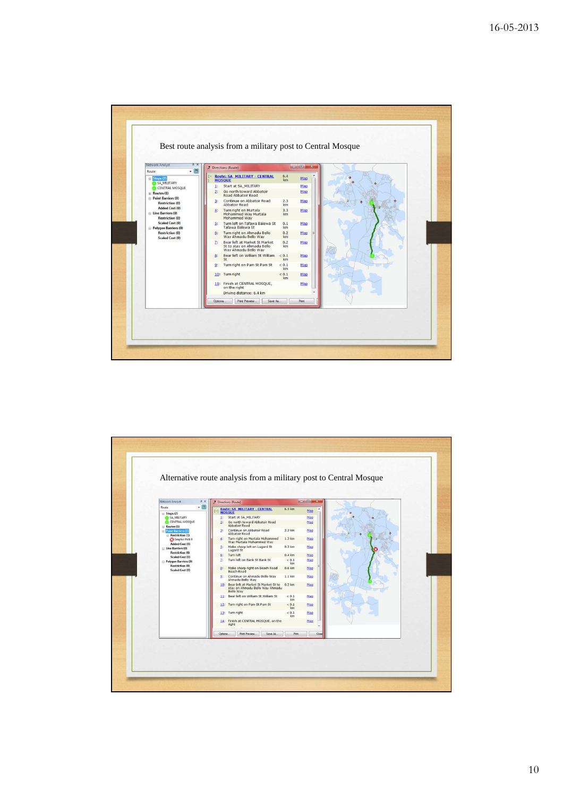![](_page_9_Figure_1.jpeg)

![](_page_9_Figure_2.jpeg)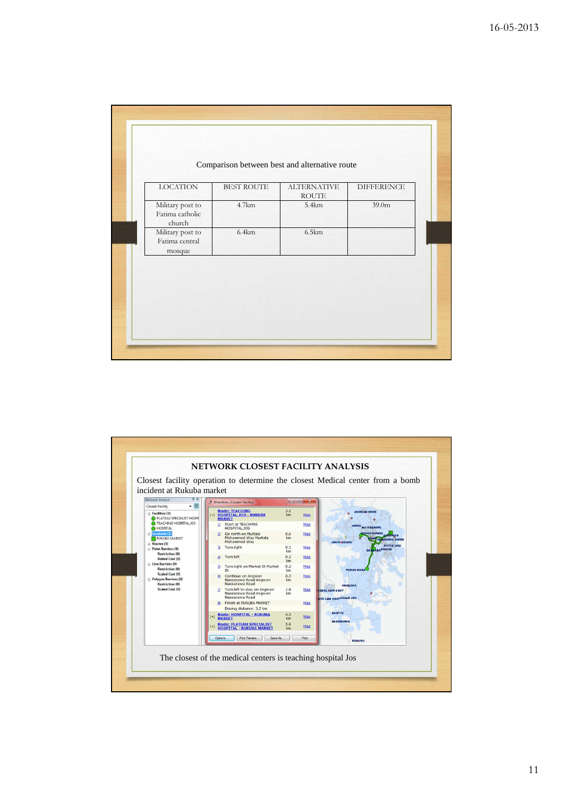| <b>LOCATION</b>                               | <b>BEST ROUTE</b> | <b>ALTERNATIVE</b><br>$\operatorname{ROUTE}$ | <b>DIFFERENCE</b> |
|-----------------------------------------------|-------------------|----------------------------------------------|-------------------|
| Military post to<br>Fatima catholic<br>church | 4.7km             | 5.4km                                        | 39.0 <sub>m</sub> |
| Military post to<br>Fatima central<br>mosque  | 6.4km             | 6.5km                                        |                   |

![](_page_10_Figure_2.jpeg)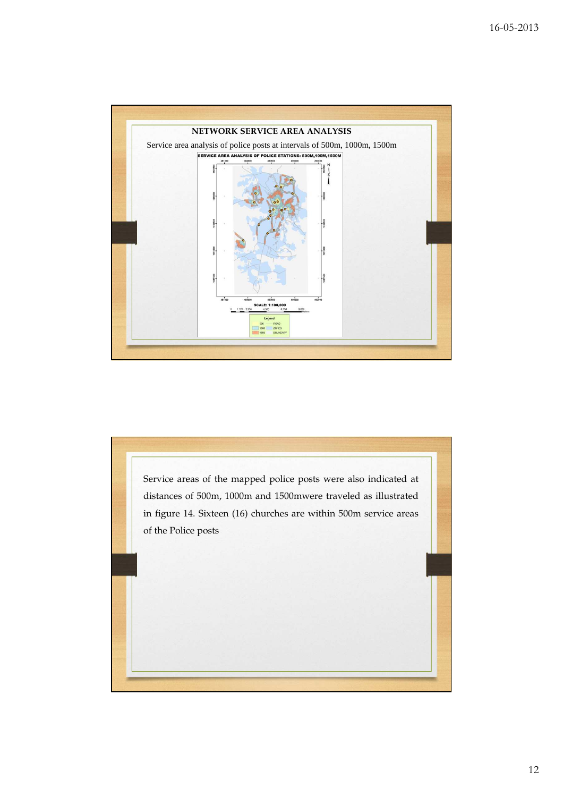![](_page_11_Figure_1.jpeg)

![](_page_11_Picture_2.jpeg)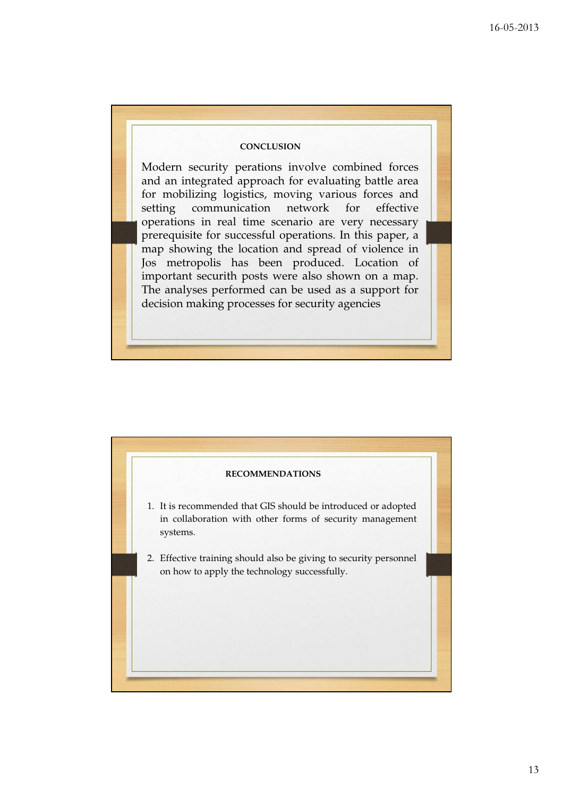## **CONCLUSION**

Modern security perations involve combined forces and an integrated approach for evaluating battle area for mobilizing logistics, moving various forces and setting communication network for effective operations in real time scenario are very necessary prerequisite for successful operations. In this paper, a map showing the location and spread of violence in Jos metropolis has been produced. Location of important securith posts were also shown on a map. The analyses performed can be used as a support for decision making processes for security agencies

![](_page_12_Figure_3.jpeg)